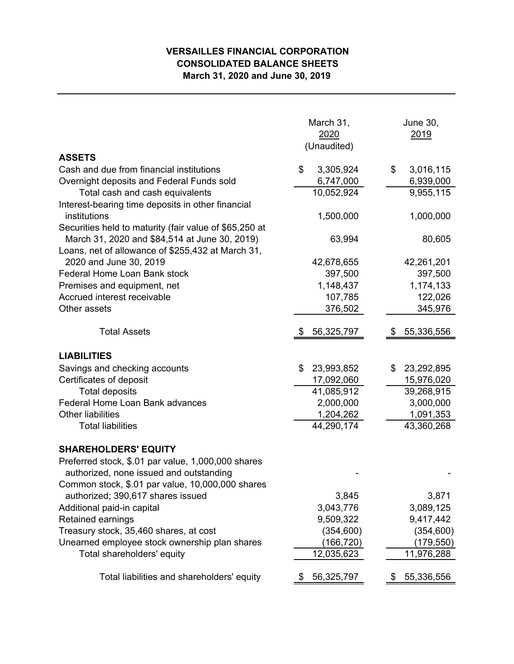## **VERSAILLES FINANCIAL CORPORATION CONSOLIDATED BALANCE SHEETS March 31, 2020 and June 30, 2019**

|                                                           | March 31,<br>2020<br>(Unaudited) | June 30,<br>2019 |  |  |
|-----------------------------------------------------------|----------------------------------|------------------|--|--|
| <b>ASSETS</b><br>Cash and due from financial institutions | \$<br>3,305,924                  | \$<br>3,016,115  |  |  |
| Overnight deposits and Federal Funds sold                 | 6,747,000                        | 6,939,000        |  |  |
| Total cash and cash equivalents                           | 10,052,924                       | 9,955,115        |  |  |
| Interest-bearing time deposits in other financial         |                                  |                  |  |  |
| institutions                                              | 1,500,000                        | 1,000,000        |  |  |
| Securities held to maturity (fair value of \$65,250 at    |                                  |                  |  |  |
| March 31, 2020 and \$84,514 at June 30, 2019)             | 63,994                           | 80,605           |  |  |
| Loans, net of allowance of \$255,432 at March 31,         |                                  |                  |  |  |
| 2020 and June 30, 2019                                    | 42,678,655                       | 42,261,201       |  |  |
| Federal Home Loan Bank stock                              | 397,500                          | 397,500          |  |  |
| Premises and equipment, net                               | 1,148,437                        | 1,174,133        |  |  |
| Accrued interest receivable                               | 107,785                          | 122,026          |  |  |
| Other assets                                              | 376,502                          | 345,976          |  |  |
| <b>Total Assets</b>                                       | 56,325,797                       | 55,336,556       |  |  |
|                                                           |                                  |                  |  |  |
| <b>LIABILITIES</b>                                        |                                  |                  |  |  |
| Savings and checking accounts                             | \$<br>23,993,852                 | 23,292,895<br>\$ |  |  |
| Certificates of deposit                                   | 17,092,060                       | 15,976,020       |  |  |
| <b>Total deposits</b>                                     | 41,085,912                       | 39,268,915       |  |  |
| Federal Home Loan Bank advances                           | 2,000,000                        | 3,000,000        |  |  |
| <b>Other liabilities</b>                                  | 1,204,262                        | 1,091,353        |  |  |
| <b>Total liabilities</b>                                  | 44,290,174                       | 43,360,268       |  |  |
| <b>SHAREHOLDERS' EQUITY</b>                               |                                  |                  |  |  |
| Preferred stock, \$.01 par value, 1,000,000 shares        |                                  |                  |  |  |
| authorized, none issued and outstanding                   |                                  |                  |  |  |
| Common stock, \$.01 par value, 10,000,000 shares          |                                  |                  |  |  |
| authorized; 390,617 shares issued                         | 3,845                            | 3,871            |  |  |
| Additional paid-in capital                                | 3,043,776                        | 3,089,125        |  |  |
| Retained earnings                                         | 9,509,322                        | 9,417,442        |  |  |
| Treasury stock, 35,460 shares, at cost                    | (354, 600)                       | (354, 600)       |  |  |
| Unearned employee stock ownership plan shares             | (166,720)                        | (179, 550)       |  |  |
| Total shareholders' equity                                | 12,035,623                       | 11,976,288       |  |  |
| Total liabilities and shareholders' equity                | 56,325,797                       | 55,336,556<br>P. |  |  |
|                                                           |                                  |                  |  |  |